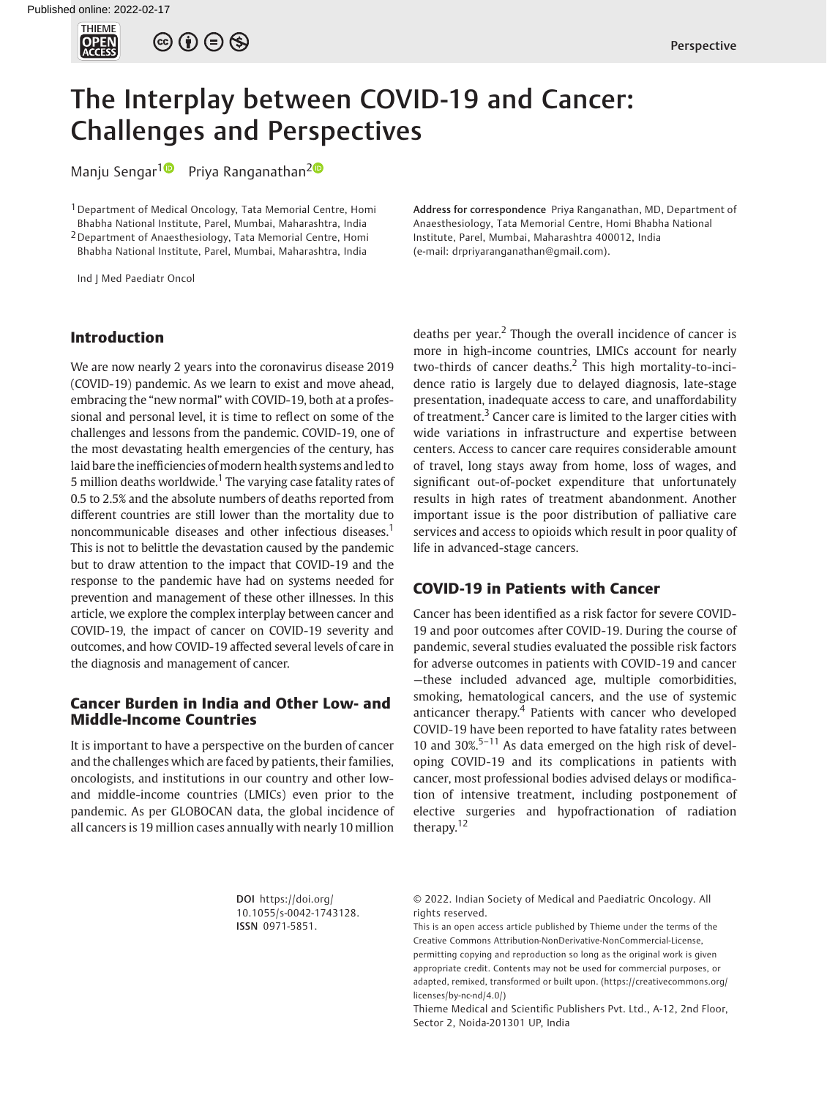

 $\circledcirc \circ \circ \circ$ 

# The Interplay between COVID-19 and Cancer: Challenges and Perspectives

Manju Sengar<sup>[1](https://orcid.org/0000-0002-3509-5682)0</sup> Priya Ranganathan<sup>20</sup>

1Department of Medical Oncology, Tata Memorial Centre, Homi Bhabha National Institute, Parel, Mumbai, Maharashtra, India 2Department of Anaesthesiology, Tata Memorial Centre, Homi Bhabha National Institute, Parel, Mumbai, Maharashtra, India

Ind J Med Paediatr Oncol

### Address for correspondence Priya Ranganathan, MD, Department of Anaesthesiology, Tata Memorial Centre, Homi Bhabha National Institute, Parel, Mumbai, Maharashtra 400012, India (e-mail: [drpriyaranganathan@gmail.com\)](mailto:drpriyaranganathan@gmail.com).

### Introduction

We are now nearly 2 years into the coronavirus disease 2019 (COVID-19) pandemic. As we learn to exist and move ahead, embracing the "new normal" with COVID-19, both at a professional and personal level, it is time to reflect on some of the challenges and lessons from the pandemic. COVID-19, one of the most devastating health emergencies of the century, has laid bare the inefficiencies of modern health systems and led to 5 million deaths worldwide.<sup>1</sup> The varying case fatality rates of 0.5 to 2.5% and the absolute numbers of deaths reported from different countries are still lower than the mortality due to noncommunicable diseases and other infectious diseases.<sup>1</sup> This is not to belittle the devastation caused by the pandemic but to draw attention to the impact that COVID-19 and the response to the pandemic have had on systems needed for prevention and management of these other illnesses. In this article, we explore the complex interplay between cancer and COVID-19, the impact of cancer on COVID-19 severity and outcomes, and how COVID-19 affected several levels of care in the diagnosis and management of cancer.

## Cancer Burden in India and Other Low- and Middle-Income Countries

It is important to have a perspective on the burden of cancer and the challenges which are faced by patients, their families, oncologists, and institutions in our country and other lowand middle-income countries (LMICs) even prior to the pandemic. As per GLOBOCAN data, the global incidence of all cancers is 19 million cases annually with nearly 10 million deaths per year.<sup>2</sup> Though the overall incidence of cancer is more in high-income countries, LMICs account for nearly two-thirds of cancer deaths.<sup>2</sup> This high mortality-to-incidence ratio is largely due to delayed diagnosis, late-stage presentation, inadequate access to care, and unaffordability of treatment.<sup>3</sup> Cancer care is limited to the larger cities with wide variations in infrastructure and expertise between centers. Access to cancer care requires considerable amount of travel, long stays away from home, loss of wages, and significant out-of-pocket expenditure that unfortunately results in high rates of treatment abandonment. Another important issue is the poor distribution of palliative care services and access to opioids which result in poor quality of life in advanced-stage cancers.

## COVID-19 in Patients with Cancer

Cancer has been identified as a risk factor for severe COVID-19 and poor outcomes after COVID-19. During the course of pandemic, several studies evaluated the possible risk factors for adverse outcomes in patients with COVID-19 and cancer —these included advanced age, multiple comorbidities, smoking, hematological cancers, and the use of systemic anticancer therapy.<sup>4</sup> Patients with cancer who developed COVID-19 have been reported to have fatality rates between 10 and 30%.<sup>5–11</sup> As data emerged on the high risk of developing COVID-19 and its complications in patients with cancer, most professional bodies advised delays or modification of intensive treatment, including postponement of elective surgeries and hypofractionation of radiation therapy.<sup>12</sup>

DOI [https://doi.org/](https://doi.org/10.1055/s-0042-1743128) [10.1055/s-0042-1743128](https://doi.org/10.1055/s-0042-1743128). ISSN 0971-5851.

© 2022. Indian Society of Medical and Paediatric Oncology. All rights reserved.

This is an open access article published by Thieme under the terms of the Creative Commons Attribution-NonDerivative-NonCommercial-License, permitting copying and reproduction so long as the original work is given appropriate credit. Contents may not be used for commercial purposes, or adapted, remixed, transformed or built upon. (https://creativecommons.org/ licenses/by-nc-nd/4.0/)

Thieme Medical and Scientific Publishers Pvt. Ltd., A-12, 2nd Floor, Sector 2, Noida-201301 UP, India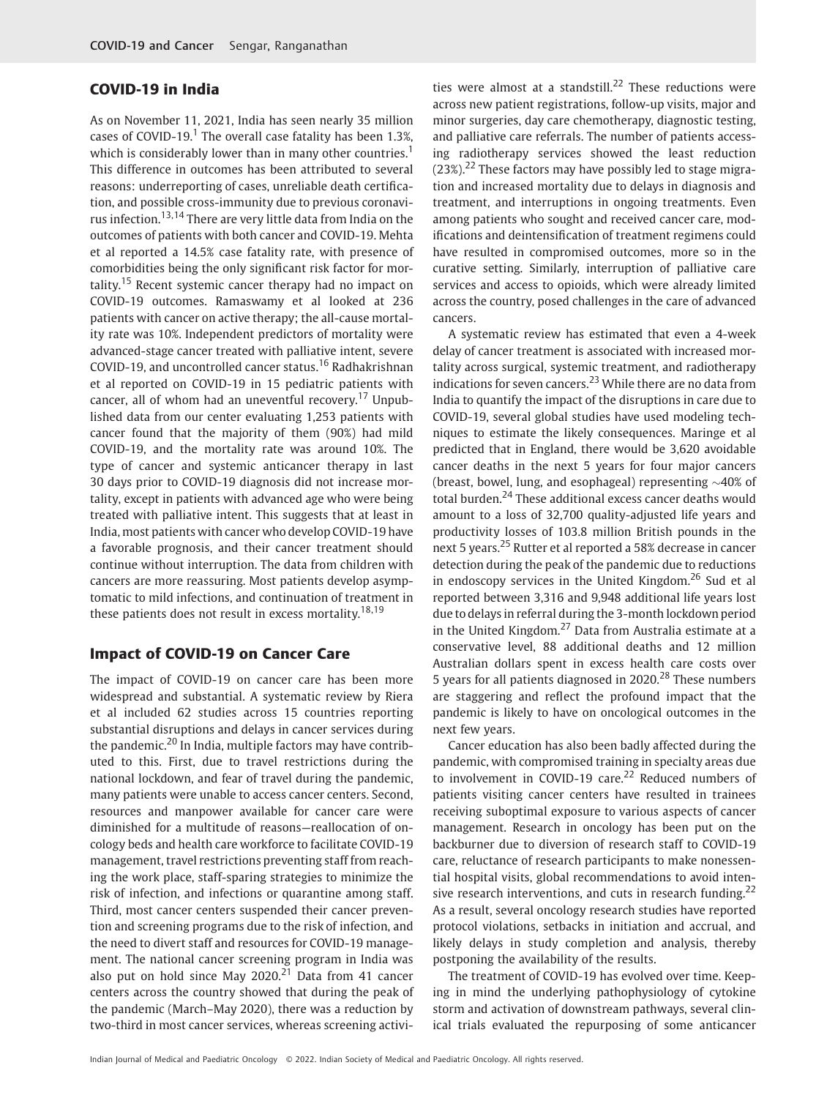# COVID-19 in India

As on November 11, 2021, India has seen nearly 35 million cases of COVID-19.<sup>1</sup> The overall case fatality has been 1.3%, which is considerably lower than in many other countries.<sup>1</sup> This difference in outcomes has been attributed to several reasons: underreporting of cases, unreliable death certification, and possible cross-immunity due to previous coronavirus infection.13,14 There are very little data from India on the outcomes of patients with both cancer and COVID-19. Mehta et al reported a 14.5% case fatality rate, with presence of comorbidities being the only significant risk factor for mortality.<sup>15</sup> Recent systemic cancer therapy had no impact on COVID-19 outcomes. Ramaswamy et al looked at 236 patients with cancer on active therapy; the all-cause mortality rate was 10%. Independent predictors of mortality were advanced-stage cancer treated with palliative intent, severe COVID-19, and uncontrolled cancer status.<sup>16</sup> Radhakrishnan et al reported on COVID-19 in 15 pediatric patients with cancer, all of whom had an uneventful recovery.<sup>17</sup> Unpublished data from our center evaluating 1,253 patients with cancer found that the majority of them (90%) had mild COVID-19, and the mortality rate was around 10%. The type of cancer and systemic anticancer therapy in last 30 days prior to COVID-19 diagnosis did not increase mortality, except in patients with advanced age who were being treated with palliative intent. This suggests that at least in India, most patients with cancer who develop COVID-19 have a favorable prognosis, and their cancer treatment should continue without interruption. The data from children with cancers are more reassuring. Most patients develop asymptomatic to mild infections, and continuation of treatment in these patients does not result in excess mortality.<sup>18,19</sup>

## Impact of COVID-19 on Cancer Care

The impact of COVID-19 on cancer care has been more widespread and substantial. A systematic review by Riera et al included 62 studies across 15 countries reporting substantial disruptions and delays in cancer services during the pandemic.<sup>20</sup> In India, multiple factors may have contributed to this. First, due to travel restrictions during the national lockdown, and fear of travel during the pandemic, many patients were unable to access cancer centers. Second, resources and manpower available for cancer care were diminished for a multitude of reasons—reallocation of oncology beds and health care workforce to facilitate COVID-19 management, travel restrictions preventing staff from reaching the work place, staff-sparing strategies to minimize the risk of infection, and infections or quarantine among staff. Third, most cancer centers suspended their cancer prevention and screening programs due to the risk of infection, and the need to divert staff and resources for COVID-19 management. The national cancer screening program in India was also put on hold since May 2020.<sup>21</sup> Data from 41 cancer centers across the country showed that during the peak of the pandemic (March–May 2020), there was a reduction by two-third in most cancer services, whereas screening activities were almost at a standstill.<sup>22</sup> These reductions were across new patient registrations, follow-up visits, major and minor surgeries, day care chemotherapy, diagnostic testing, and palliative care referrals. The number of patients accessing radiotherapy services showed the least reduction  $(23\%)$ <sup>22</sup> These factors may have possibly led to stage migration and increased mortality due to delays in diagnosis and treatment, and interruptions in ongoing treatments. Even among patients who sought and received cancer care, modifications and deintensification of treatment regimens could have resulted in compromised outcomes, more so in the curative setting. Similarly, interruption of palliative care services and access to opioids, which were already limited across the country, posed challenges in the care of advanced cancers.

A systematic review has estimated that even a 4-week delay of cancer treatment is associated with increased mortality across surgical, systemic treatment, and radiotherapy indications for seven cancers.<sup>23</sup> While there are no data from India to quantify the impact of the disruptions in care due to COVID-19, several global studies have used modeling techniques to estimate the likely consequences. Maringe et al predicted that in England, there would be 3,620 avoidable cancer deaths in the next 5 years for four major cancers (breast, bowel, lung, and esophageal) representing  $\sim$ 40% of total burden.<sup>24</sup> These additional excess cancer deaths would amount to a loss of 32,700 quality-adjusted life years and productivity losses of 103.8 million British pounds in the next 5 years.<sup>25</sup> Rutter et al reported a 58% decrease in cancer detection during the peak of the pandemic due to reductions in endoscopy services in the United Kingdom.<sup>26</sup> Sud et al reported between 3,316 and 9,948 additional life years lost due to delays in referral during the 3-month lockdown period in the United Kingdom.<sup>27</sup> Data from Australia estimate at a conservative level, 88 additional deaths and 12 million Australian dollars spent in excess health care costs over 5 years for all patients diagnosed in  $2020$ <sup>28</sup> These numbers are staggering and reflect the profound impact that the pandemic is likely to have on oncological outcomes in the next few years.

Cancer education has also been badly affected during the pandemic, with compromised training in specialty areas due to involvement in COVID-19 care.<sup>22</sup> Reduced numbers of patients visiting cancer centers have resulted in trainees receiving suboptimal exposure to various aspects of cancer management. Research in oncology has been put on the backburner due to diversion of research staff to COVID-19 care, reluctance of research participants to make nonessential hospital visits, global recommendations to avoid intensive research interventions, and cuts in research funding.<sup>22</sup> As a result, several oncology research studies have reported protocol violations, setbacks in initiation and accrual, and likely delays in study completion and analysis, thereby postponing the availability of the results.

The treatment of COVID-19 has evolved over time. Keeping in mind the underlying pathophysiology of cytokine storm and activation of downstream pathways, several clinical trials evaluated the repurposing of some anticancer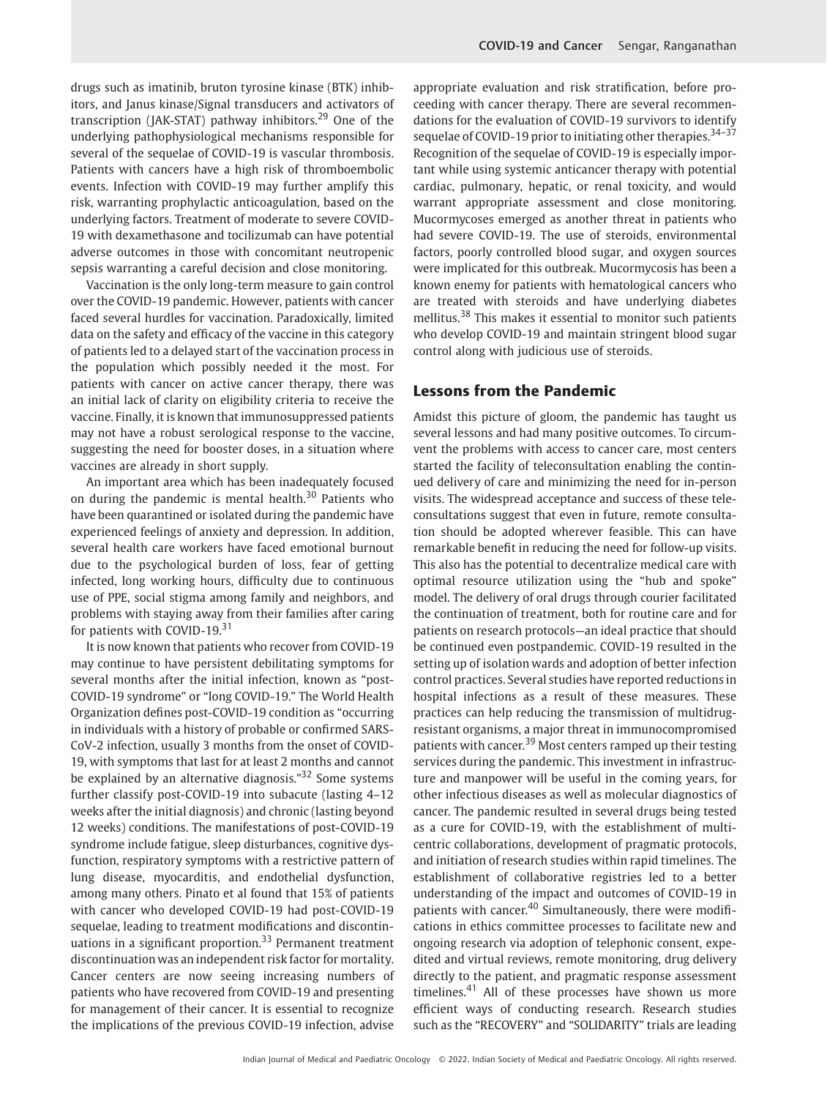drugs such as imatinib, bruton tyrosine kinase (BTK) inhibitors, and Janus kinase/Signal transducers and activators of transcription (JAK-STAT) pathway inhibitors.<sup>29</sup> One of the underlying pathophysiological mechanisms responsible for several of the sequelae of COVID-19 is vascular thrombosis. Patients with cancers have a high risk of thromboembolic events. Infection with COVID-19 may further amplify this risk, warranting prophylactic anticoagulation, based on the underlying factors. Treatment of moderate to severe COVID-19 with dexamethasone and tocilizumab can have potential adverse outcomes in those with concomitant neutropenic sepsis warranting a careful decision and close monitoring.

Vaccination is the only long-term measure to gain control over the COVID-19 pandemic. However, patients with cancer faced several hurdles for vaccination. Paradoxically, limited data on the safety and efficacy of the vaccine in this category of patients led to a delayed start of the vaccination process in the population which possibly needed it the most. For patients with cancer on active cancer therapy, there was an initial lack of clarity on eligibility criteria to receive the vaccine. Finally, it is known that immunosuppressed patients may not have a robust serological response to the vaccine, suggesting the need for booster doses, in a situation where vaccines are already in short supply.

An important area which has been inadequately focused on during the pandemic is mental health. $30$  Patients who have been quarantined or isolated during the pandemic have experienced feelings of anxiety and depression. In addition, several health care workers have faced emotional burnout due to the psychological burden of loss, fear of getting infected, long working hours, difficulty due to continuous use of PPE, social stigma among family and neighbors, and problems with staying away from their families after caring for patients with COVID-19.<sup>31</sup>

It is now known that patients who recover from COVID-19 may continue to have persistent debilitating symptoms for several months after the initial infection, known as "post-COVID-19 syndrome" or "long COVID-19." The World Health Organization defines post-COVID-19 condition as "occurring in individuals with a history of probable or confirmed SARS-CoV-2 infection, usually 3 months from the onset of COVID-19, with symptoms that last for at least 2 months and cannot be explained by an alternative diagnosis."<sup>32</sup> Some systems further classify post-COVID-19 into subacute (lasting 4–12 weeks after the initial diagnosis) and chronic (lasting beyond 12 weeks) conditions. The manifestations of post-COVID-19 syndrome include fatigue, sleep disturbances, cognitive dysfunction, respiratory symptoms with a restrictive pattern of lung disease, myocarditis, and endothelial dysfunction, among many others. Pinato et al found that 15% of patients with cancer who developed COVID-19 had post-COVID-19 sequelae, leading to treatment modifications and discontinuations in a significant proportion.<sup>33</sup> Permanent treatment discontinuation was an independent risk factor for mortality. Cancer centers are now seeing increasing numbers of patients who have recovered from COVID-19 and presenting for management of their cancer. It is essential to recognize the implications of the previous COVID-19 infection, advise appropriate evaluation and risk stratification, before proceeding with cancer therapy. There are several recommendations for the evaluation of COVID-19 survivors to identify sequelae of COVID-19 prior to initiating other therapies. $34-37$ Recognition of the sequelae of COVID-19 is especially important while using systemic anticancer therapy with potential cardiac, pulmonary, hepatic, or renal toxicity, and would warrant appropriate assessment and close monitoring. Mucormycoses emerged as another threat in patients who had severe COVID-19. The use of steroids, environmental factors, poorly controlled blood sugar, and oxygen sources were implicated for this outbreak. Mucormycosis has been a known enemy for patients with hematological cancers who are treated with steroids and have underlying diabetes mellitus.<sup>38</sup> This makes it essential to monitor such patients who develop COVID-19 and maintain stringent blood sugar control along with judicious use of steroids.

# Lessons from the Pandemic

Amidst this picture of gloom, the pandemic has taught us several lessons and had many positive outcomes. To circumvent the problems with access to cancer care, most centers started the facility of teleconsultation enabling the continued delivery of care and minimizing the need for in-person visits. The widespread acceptance and success of these teleconsultations suggest that even in future, remote consultation should be adopted wherever feasible. This can have remarkable benefit in reducing the need for follow-up visits. This also has the potential to decentralize medical care with optimal resource utilization using the "hub and spoke" model. The delivery of oral drugs through courier facilitated the continuation of treatment, both for routine care and for patients on research protocols—an ideal practice that should be continued even postpandemic. COVID-19 resulted in the setting up of isolation wards and adoption of better infection control practices. Several studies have reported reductions in hospital infections as a result of these measures. These practices can help reducing the transmission of multidrugresistant organisms, a major threat in immunocompromised patients with cancer.<sup>39</sup> Most centers ramped up their testing services during the pandemic. This investment in infrastructure and manpower will be useful in the coming years, for other infectious diseases as well as molecular diagnostics of cancer. The pandemic resulted in several drugs being tested as a cure for COVID-19, with the establishment of multicentric collaborations, development of pragmatic protocols, and initiation of research studies within rapid timelines. The establishment of collaborative registries led to a better understanding of the impact and outcomes of COVID-19 in patients with cancer.<sup>40</sup> Simultaneously, there were modifications in ethics committee processes to facilitate new and ongoing research via adoption of telephonic consent, expedited and virtual reviews, remote monitoring, drug delivery directly to the patient, and pragmatic response assessment timelines. $41$  All of these processes have shown us more efficient ways of conducting research. Research studies such as the "RECOVERY" and "SOLIDARITY" trials are leading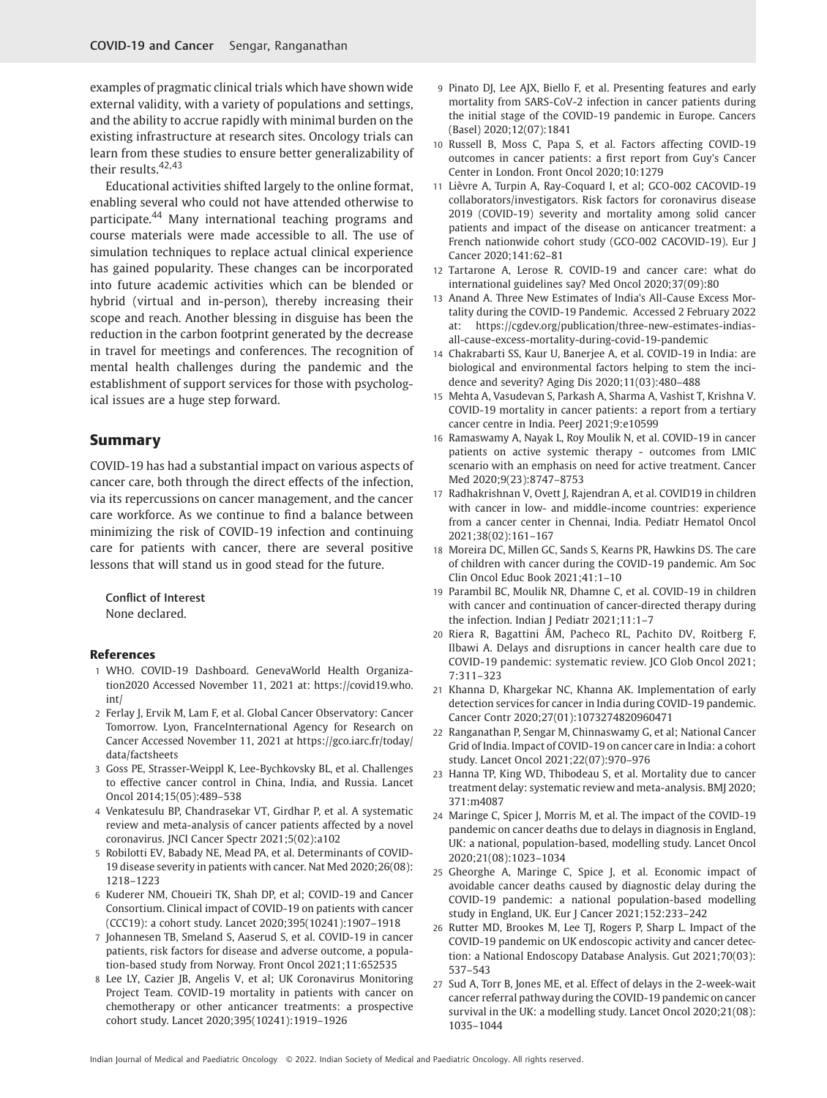examples of pragmatic clinical trials which have shown wide external validity, with a variety of populations and settings, and the ability to accrue rapidly with minimal burden on the existing infrastructure at research sites. Oncology trials can learn from these studies to ensure better generalizability of their results.42,43

Educational activities shifted largely to the online format, enabling several who could not have attended otherwise to participate.<sup>44</sup> Many international teaching programs and course materials were made accessible to all. The use of simulation techniques to replace actual clinical experience has gained popularity. These changes can be incorporated into future academic activities which can be blended or hybrid (virtual and in-person), thereby increasing their scope and reach. Another blessing in disguise has been the reduction in the carbon footprint generated by the decrease in travel for meetings and conferences. The recognition of mental health challenges during the pandemic and the establishment of support services for those with psychological issues are a huge step forward.

## Summary

COVID-19 has had a substantial impact on various aspects of cancer care, both through the direct effects of the infection, via its repercussions on cancer management, and the cancer care workforce. As we continue to find a balance between minimizing the risk of COVID-19 infection and continuing care for patients with cancer, there are several positive lessons that will stand us in good stead for the future.

Conflict of Interest None declared.

### References

- 1 WHO. COVID-19 Dashboard. GenevaWorld Health Organization2020 Accessed November 11, 2021 at: [https://covid19.who.](https://covid19.who.int/) [int/](https://covid19.who.int/)
- 2 Ferlay J, Ervik M, Lam F, et al. Global Cancer Observatory: Cancer Tomorrow. Lyon, FranceInternational Agency for Research on Cancer Accessed November 11, 2021 at [https://gco.iarc.fr/today/](https://gco.iarc.fr/today/data/factsheets) [data/factsheets](https://gco.iarc.fr/today/data/factsheets)
- 3 Goss PE, Strasser-Weippl K, Lee-Bychkovsky BL, et al. Challenges to effective cancer control in China, India, and Russia. Lancet Oncol 2014;15(05):489–538
- 4 Venkatesulu BP, Chandrasekar VT, Girdhar P, et al. A systematic review and meta-analysis of cancer patients affected by a novel coronavirus. JNCI Cancer Spectr 2021;5(02):a102
- 5 Robilotti EV, Babady NE, Mead PA, et al. Determinants of COVID-19 disease severity in patients with cancer. Nat Med 2020;26(08): 1218–1223
- 6 Kuderer NM, Choueiri TK, Shah DP, et al; COVID-19 and Cancer Consortium. Clinical impact of COVID-19 on patients with cancer (CCC19): a cohort study. Lancet 2020;395(10241):1907–1918
- 7 Johannesen TB, Smeland S, Aaserud S, et al. COVID-19 in cancer patients, risk factors for disease and adverse outcome, a population-based study from Norway. Front Oncol 2021;11:652535
- 8 Lee LY, Cazier JB, Angelis V, et al; UK Coronavirus Monitoring Project Team. COVID-19 mortality in patients with cancer on chemotherapy or other anticancer treatments: a prospective cohort study. Lancet 2020;395(10241):1919–1926
- 9 Pinato DJ, Lee AJX, Biello F, et al. Presenting features and early mortality from SARS-CoV-2 infection in cancer patients during the initial stage of the COVID-19 pandemic in Europe. Cancers (Basel) 2020;12(07):1841
- 10 Russell B, Moss C, Papa S, et al. Factors affecting COVID-19 outcomes in cancer patients: a first report from Guy's Cancer Center in London. Front Oncol 2020;10:1279
- 11 Lièvre A, Turpin A, Ray-Coquard I, et al; GCO-002 CACOVID-19 collaborators/investigators. Risk factors for coronavirus disease 2019 (COVID-19) severity and mortality among solid cancer patients and impact of the disease on anticancer treatment: a French nationwide cohort study (GCO-002 CACOVID-19). Eur J Cancer 2020;141:62–81
- 12 Tartarone A, Lerose R. COVID-19 and cancer care: what do international guidelines say? Med Oncol 2020;37(09):80
- 13 Anand A. Three New Estimates of India's All-Cause Excess Mortality during the COVID-19 Pandemic. Accessed 2 February 2022 at: [https://cgdev.org/publication/three-new-estimates-indias](https://cgdev.org/publication/three-new-estimates-indias-all-cause-excess-mortality-during-covid-19-pandemic)[all-cause-excess-mortality-during-covid-19-pandemic](https://cgdev.org/publication/three-new-estimates-indias-all-cause-excess-mortality-during-covid-19-pandemic)
- 14 Chakrabarti SS, Kaur U, Banerjee A, et al. COVID-19 in India: are biological and environmental factors helping to stem the incidence and severity? Aging Dis 2020;11(03):480–488
- 15 Mehta A, Vasudevan S, Parkash A, Sharma A, Vashist T, Krishna V. COVID-19 mortality in cancer patients: a report from a tertiary cancer centre in India. PeerJ 2021;9:e10599
- 16 Ramaswamy A, Nayak L, Roy Moulik N, et al. COVID-19 in cancer patients on active systemic therapy - outcomes from LMIC scenario with an emphasis on need for active treatment. Cancer Med 2020;9(23):8747–8753
- 17 Radhakrishnan V, Ovett J, Rajendran A, et al. COVID19 in children with cancer in low- and middle-income countries: experience from a cancer center in Chennai, India. Pediatr Hematol Oncol 2021;38(02):161–167
- 18 Moreira DC, Millen GC, Sands S, Kearns PR, Hawkins DS. The care of children with cancer during the COVID-19 pandemic. Am Soc Clin Oncol Educ Book 2021;41:1–10
- 19 Parambil BC, Moulik NR, Dhamne C, et al. COVID-19 in children with cancer and continuation of cancer-directed therapy during the infection. Indian J Pediatr 2021;11:1–7
- 20 Riera R, Bagattini ÂM, Pacheco RL, Pachito DV, Roitberg F, Ilbawi A. Delays and disruptions in cancer health care due to COVID-19 pandemic: systematic review. JCO Glob Oncol 2021; 7:311–323
- 21 Khanna D, Khargekar NC, Khanna AK. Implementation of early detection services for cancer in India during COVID-19 pandemic. Cancer Contr 2020;27(01):1073274820960471
- 22 Ranganathan P, Sengar M, Chinnaswamy G, et al; National Cancer Grid of India. Impact of COVID-19 on cancer care in India: a cohort study. Lancet Oncol 2021;22(07):970–976
- 23 Hanna TP, King WD, Thibodeau S, et al. Mortality due to cancer treatment delay: systematic review and meta-analysis. BMJ 2020; 371:m4087
- 24 Maringe C, Spicer J, Morris M, et al. The impact of the COVID-19 pandemic on cancer deaths due to delays in diagnosis in England, UK: a national, population-based, modelling study. Lancet Oncol 2020;21(08):1023–1034
- 25 Gheorghe A, Maringe C, Spice J, et al. Economic impact of avoidable cancer deaths caused by diagnostic delay during the COVID-19 pandemic: a national population-based modelling study in England, UK. Eur J Cancer 2021;152:233–242
- 26 Rutter MD, Brookes M, Lee TJ, Rogers P, Sharp L. Impact of the COVID-19 pandemic on UK endoscopic activity and cancer detection: a National Endoscopy Database Analysis. Gut 2021;70(03): 537–543
- 27 Sud A, Torr B, Jones ME, et al. Effect of delays in the 2-week-wait cancer referral pathway during the COVID-19 pandemic on cancer survival in the UK: a modelling study. Lancet Oncol 2020;21(08): 1035–1044